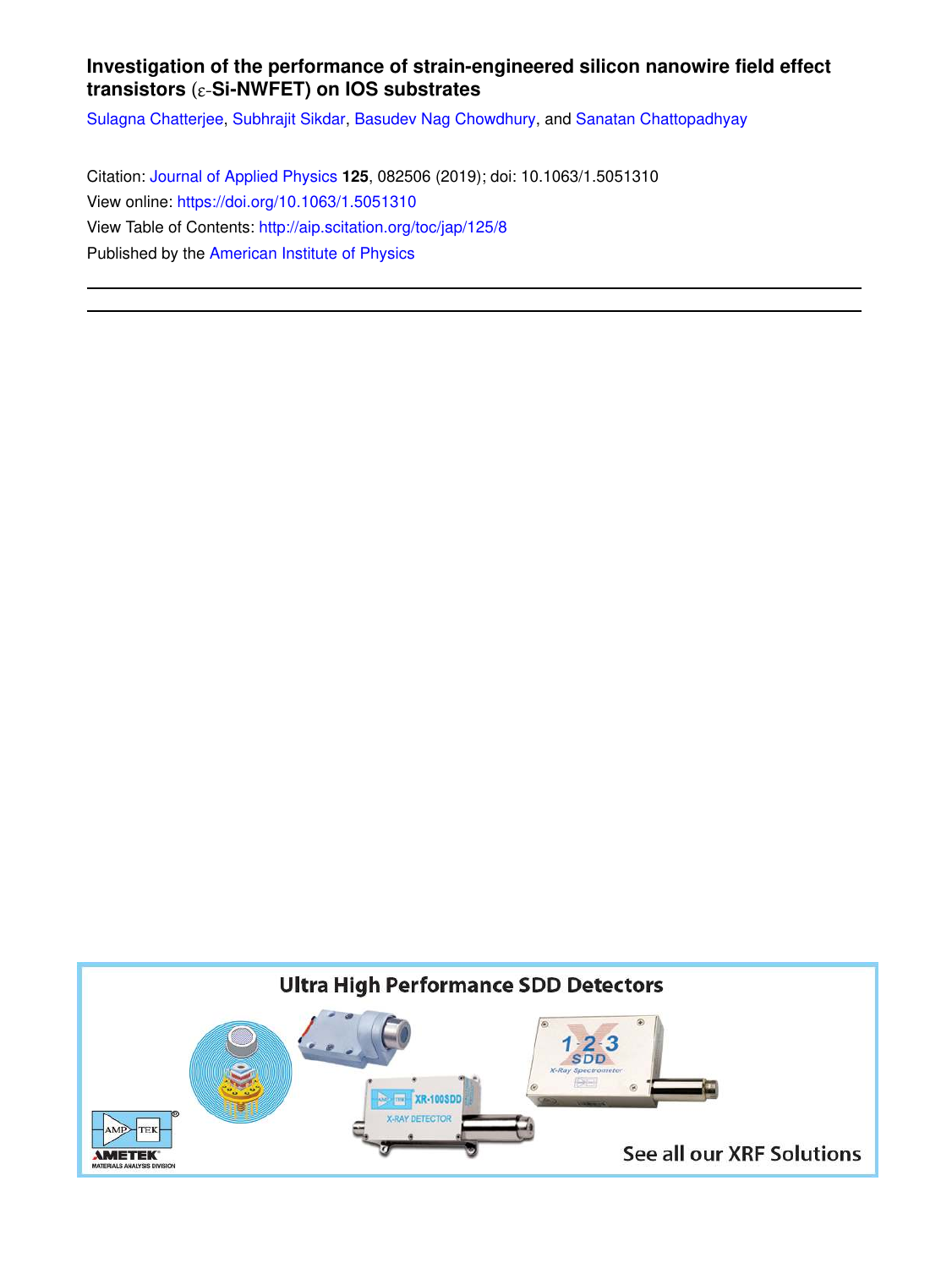## **Investigation of the performance of strain-engineered silicon nanowire field effect transistors** (ɛ-**Si-NWFET) on IOS substrates**

Sulagna Chatterjee, Subhrajit Sikdar, Basudev Nag Chowdhury, and Sanatan Chattopadhyay

Citation: Journal of Applied Physics **125**, 082506 (2019); doi: 10.1063/1.5051310 View online: https://doi.org/10.1063/1.5051310 View Table of Contents: http://aip.scitation.org/toc/jap/125/8 Published by the American Institute of Physics

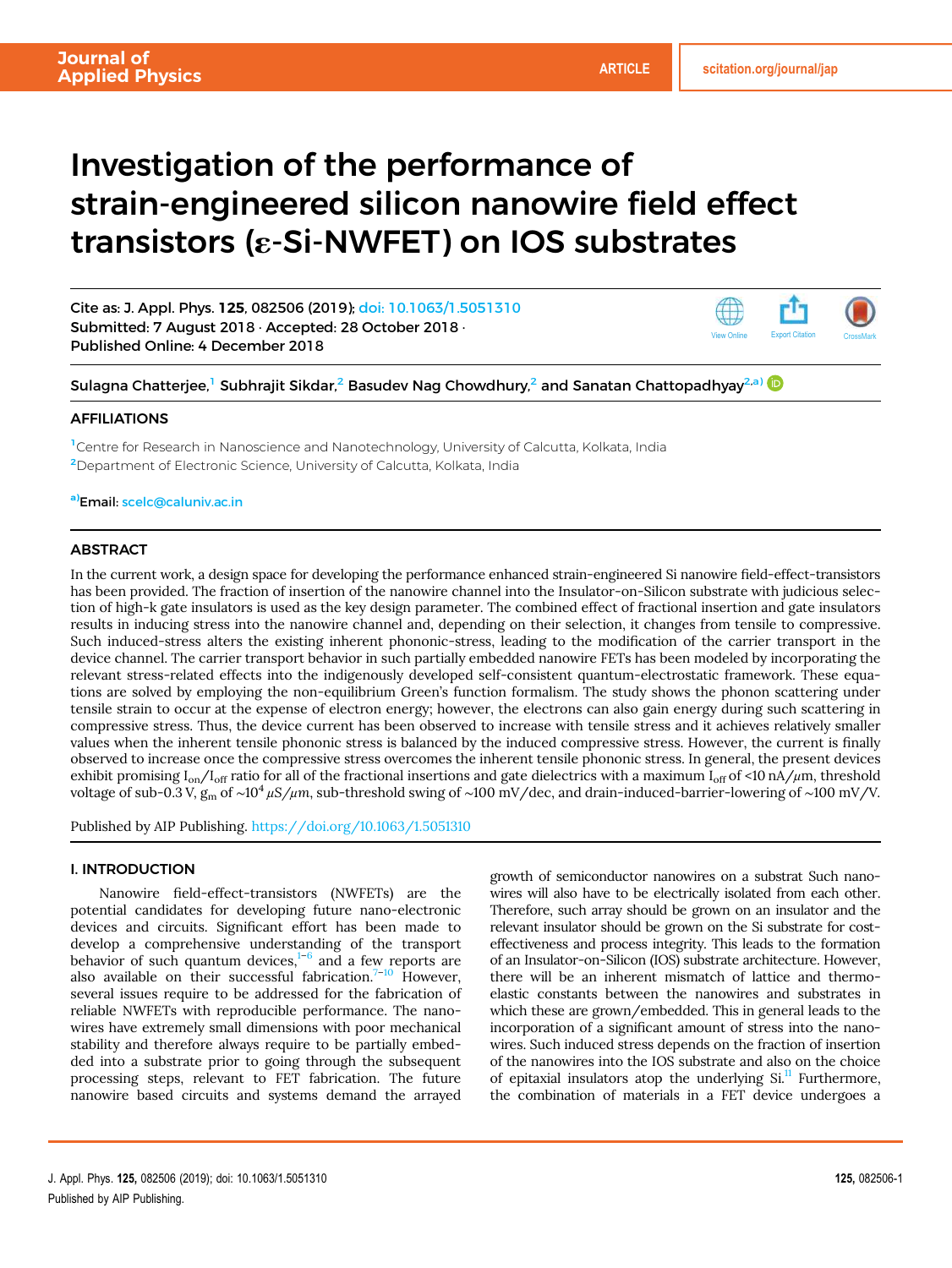# Investigation of the performance of strain-engineered silicon nanowire field effect transistors (ε-Si-NWFET) on IOS substrates

Cite as: J. Appl. Phys. 125, 082506 (2019); doi: 10.1063/1.5051310 Submitted: 7 August 2018 · Accepted: 28 October 2018 · Published Online: 4 December 2018



Sulagna Chatterjee, $^1$  Subhrajit Sikdar, $^2$  Basudev Nag Chowdhury, $^2$  and Sanatan Chattopadhyay $^{2,\mathtt{a}}$ 

#### AFFILIATIONS

<sup>1</sup>Centre for Research in Nanoscience and Nanotechnology, University of Calcutta, Kolkata, India <sup>2</sup>Department of Electronic Science, University of Calcutta, Kolkata, India

a)Email: scelc@caluniv.ac.in

### **ABSTRACT**

In the current work, a design space for developing the performance enhanced strain-engineered Si nanowire field-effect-transistors has been provided. The fraction of insertion of the nanowire channel into the Insulator-on-Silicon substrate with judicious selection of high-k gate insulators is used as the key design parameter. The combined effect of fractional insertion and gate insulators results in inducing stress into the nanowire channel and, depending on their selection, it changes from tensile to compressive. Such induced-stress alters the existing inherent phononic-stress, leading to the modification of the carrier transport in the device channel. The carrier transport behavior in such partially embedded nanowire FETs has been modeled by incorporating the relevant stress-related effects into the indigenously developed self-consistent quantum-electrostatic framework. These equations are solved by employing the non-equilibrium Green's function formalism. The study shows the phonon scattering under tensile strain to occur at the expense of electron energy; however, the electrons can also gain energy during such scattering in compressive stress. Thus, the device current has been observed to increase with tensile stress and it achieves relatively smaller values when the inherent tensile phononic stress is balanced by the induced compressive stress. However, the current is finally observed to increase once the compressive stress overcomes the inherent tensile phononic stress. In general, the present devices exhibit promising  $I_{on}/I_{off}$  ratio for all of the fractional insertions and gate dielectrics with a maximum  $I_{off}$  of <10 nA/µm, threshold voltage of sub-0.3 V, g<sup>m</sup> of ∼10<sup>4</sup> μ*S/*μ*m*, sub-threshold swing of ∼100 mV/dec, and drain-induced-barrier-lowering of ∼100 mV/V.

Published by AIP Publishing. https://doi.org/10.1063/1.5051310

#### I. INTRODUCTION

Nanowire field-effect-transistors (NWFETs) are the potential candidates for developing future nano-electronic devices and circuits. Significant effort has been made to develop a comprehensive understanding of the transport behavior of such quantum devices, $1-6$  and a few reports are also available on their successful fabrication.<sup>7-10</sup> However, several issues require to be addressed for the fabrication of reliable NWFETs with reproducible performance. The nanowires have extremely small dimensions with poor mechanical stability and therefore always require to be partially embedded into a substrate prior to going through the subsequent processing steps, relevant to FET fabrication. The future nanowire based circuits and systems demand the arrayed

growth of semiconductor nanowires on a substrat Such nanowires will also have to be electrically isolated from each other. Therefore, such array should be grown on an insulator and the relevant insulator should be grown on the Si substrate for costeffectiveness and process integrity. This leads to the formation of an Insulator-on-Silicon (IOS) substrate architecture. However, there will be an inherent mismatch of lattice and thermoelastic constants between the nanowires and substrates in which these are grown/embedded. This in general leads to the incorporation of a significant amount of stress into the nanowires. Such induced stress depends on the fraction of insertion of the nanowires into the IOS substrate and also on the choice of epitaxial insulators atop the underlying  $Si<sup>11</sup>$  Furthermore, the combination of materials in a FET device undergoes a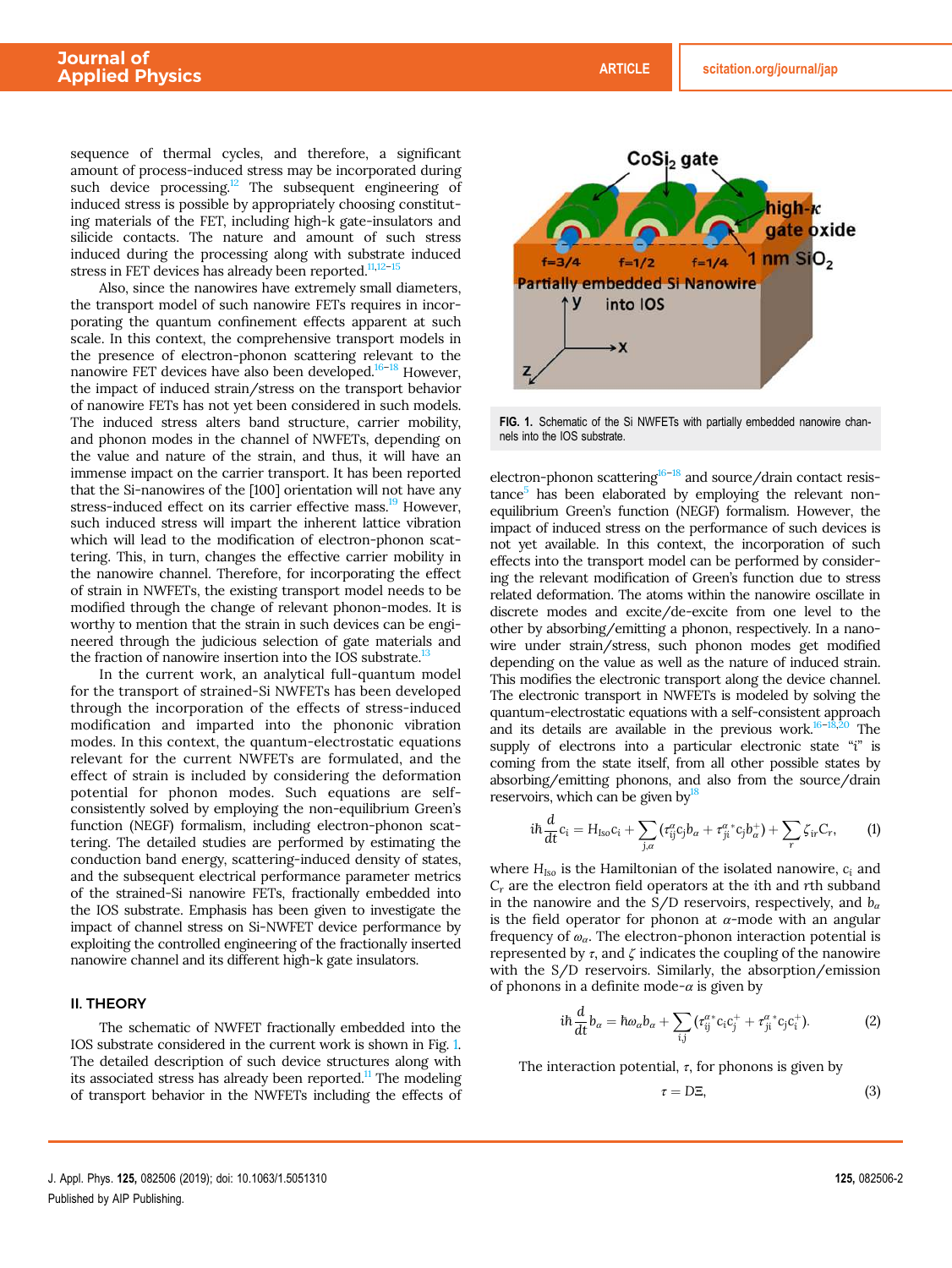sequence of thermal cycles, and therefore, a significant amount of process-induced stress may be incorporated during such device processing.<sup>12</sup> The subsequent engineering of induced stress is possible by appropriately choosing constituting materials of the FET, including high-k gate-insulators and silicide contacts. The nature and amount of such stress induced during the processing along with substrate induced stress in FET devices has already been reported. $11,12$ -

Also, since the nanowires have extremely small diameters, the transport model of such nanowire FETs requires in incorporating the quantum confinement effects apparent at such scale. In this context, the comprehensive transport models in the presence of electron-phonon scattering relevant to the nanowire FET devices have also been developed.16–<sup>18</sup> However, the impact of induced strain/stress on the transport behavior of nanowire FETs has not yet been considered in such models. The induced stress alters band structure, carrier mobility, and phonon modes in the channel of NWFETs, depending on the value and nature of the strain, and thus, it will have an immense impact on the carrier transport. It has been reported that the Si-nanowires of the [100] orientation will not have any stress-induced effect on its carrier effective mass.<sup>19</sup> However, such induced stress will impart the inherent lattice vibration which will lead to the modification of electron-phonon scattering. This, in turn, changes the effective carrier mobility in the nanowire channel. Therefore, for incorporating the effect of strain in NWFETs, the existing transport model needs to be modified through the change of relevant phonon-modes. It is worthy to mention that the strain in such devices can be engineered through the judicious selection of gate materials and the fraction of nanowire insertion into the IOS substrate.<sup>13</sup>

In the current work, an analytical full-quantum model for the transport of strained-Si NWFETs has been developed through the incorporation of the effects of stress-induced modification and imparted into the phononic vibration modes. In this context, the quantum-electrostatic equations relevant for the current NWFETs are formulated, and the effect of strain is included by considering the deformation potential for phonon modes. Such equations are selfconsistently solved by employing the non-equilibrium Green's function (NEGF) formalism, including electron-phonon scattering. The detailed studies are performed by estimating the conduction band energy, scattering-induced density of states, and the subsequent electrical performance parameter metrics of the strained-Si nanowire FETs, fractionally embedded into the IOS substrate. Emphasis has been given to investigate the impact of channel stress on Si-NWFET device performance by exploiting the controlled engineering of the fractionally inserted nanowire channel and its different high-k gate insulators.

#### II. THEORY

The schematic of NWFET fractionally embedded into the IOS substrate considered in the current work is shown in Fig. 1. The detailed description of such device structures along with its associated stress has already been reported. $\frac{11}{11}$  The modeling of transport behavior in the NWFETs including the effects of



FIG. 1. Schematic of the Si NWFETs with partially embedded nanowire channels into the IOS substrate.

electron-phonon scattering $16-18$  and source/drain contact resistance<sup>5</sup> has been elaborated by employing the relevant nonequilibrium Green's function (NEGF) formalism. However, the impact of induced stress on the performance of such devices is not yet available. In this context, the incorporation of such effects into the transport model can be performed by considering the relevant modification of Green's function due to stress related deformation. The atoms within the nanowire oscillate in discrete modes and excite/de-excite from one level to the other by absorbing/emitting a phonon, respectively. In a nanowire under strain/stress, such phonon modes get modified depending on the value as well as the nature of induced strain. This modifies the electronic transport along the device channel. The electronic transport in NWFETs is modeled by solving the quantum-electrostatic equations with a self-consistent approach and its details are available in the previous work.<sup>16–18,20</sup> The supply of electrons into a particular electronic state "*i*" is coming from the state itself, from all other possible states by absorbing/emitting phonons, and also from the source/drain reservoirs, which can be given by $18$ 

$$
i\hbar \frac{d}{dt}c_i = H_{\text{Iso}}c_i + \sum_{j,\alpha} \left( \tau_{ij}^{\alpha} c_j b_{\alpha} + \tau_{ji}^{\alpha}{}^* c_j b_{\alpha}^+ \right) + \sum_r \zeta_{ir} C_r, \tag{1}
$$

where *HIso* is the Hamiltonian of the isolated nanowire, *c<sup>i</sup>* and *C<sup>r</sup>* are the electron field operators at the *i*th and *r*th subband in the nanowire and the S/D reservoirs, respectively, and  $b_{\alpha}$ is the field operator for phonon at  $\alpha$ -mode with an angular frequency of  $\omega_a$ . The electron-phonon interaction potential is represented by  $\tau$ , and  $\zeta$  indicates the coupling of the nanowire with the S/D reservoirs. Similarly, the absorption/emission of phonons in a definite mode- $\alpha$  is given by

$$
i\hbar \frac{d}{dt}b_{\alpha} = \hbar \omega_{\alpha} b_{\alpha} + \sum_{i,j} \left( \tau_{ij}^{\alpha}{}^* c_i c_j^+ + \tau_{ji}^{\alpha}{}^* c_j c_i^+ \right). \tag{2}
$$

The interaction potential,  $\tau$ , for phonons is given by

$$
\tau = \mathbf{D}\Xi,\tag{3}
$$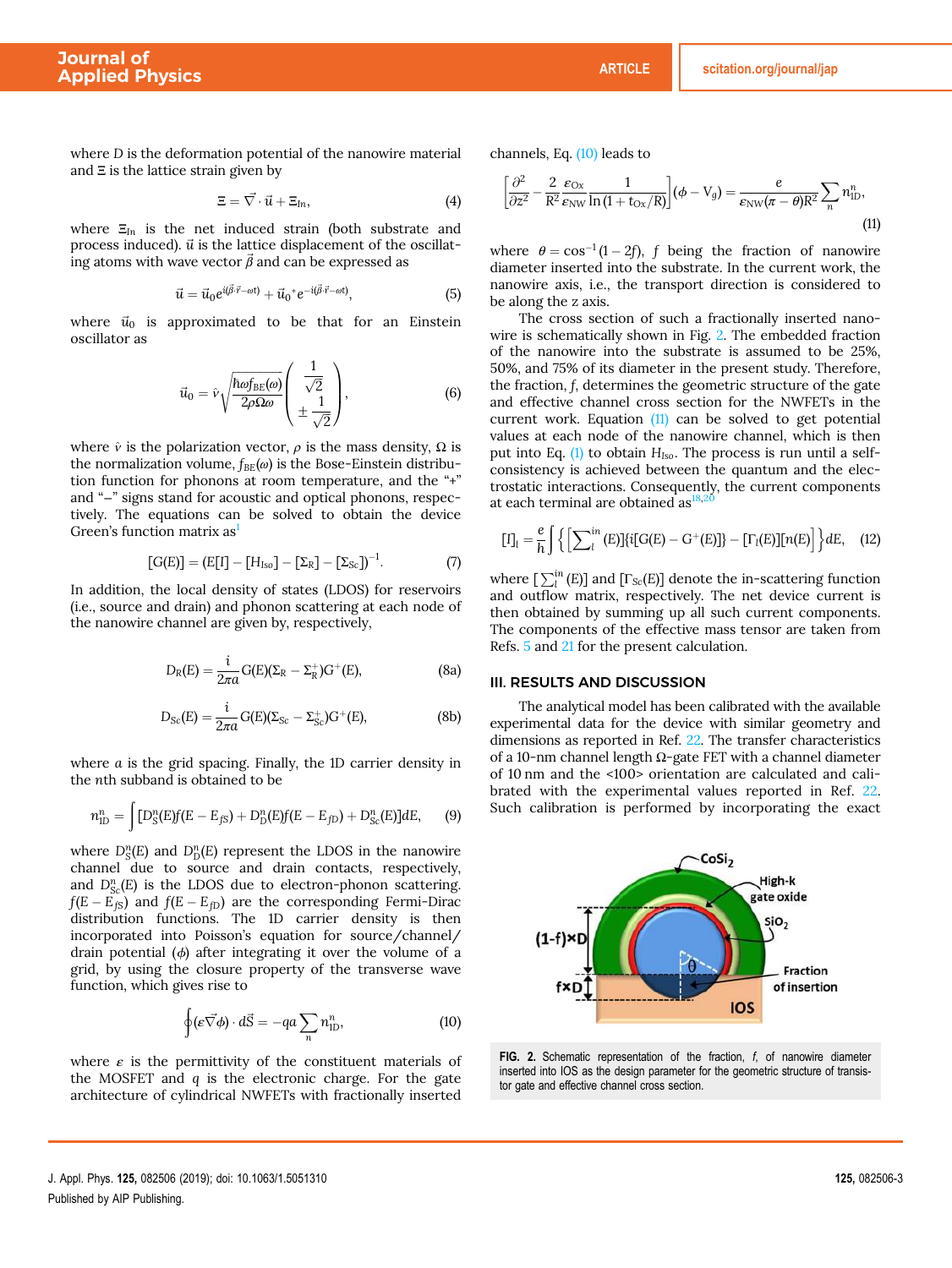$$
\Xi = \vec{\nabla} \cdot \vec{u} + \Xi_{\text{In}},\tag{4}
$$

where Ξ*In* is the net induced strain (both substrate and process induced).  $\vec{u}$  is the lattice displacement of the oscillating atoms with wave vector  $\vec{\beta}$  and can be expressed as

$$
\vec{u} = \vec{u}_0 e^{i(\vec{\beta}\cdot\vec{r}-\omega t)} + \vec{u}_0^* e^{-i(\vec{\beta}\cdot\vec{r}-\omega t)}, \tag{5}
$$

where  $\vec{u}_0$  is approximated to be that for an Einstein oscillator as

$$
\vec{u}_0 = \hat{v} \sqrt{\frac{\hbar \omega f_{BE}(\omega)}{2\rho \Omega \omega}} \left( \frac{\frac{1}{\sqrt{2}}}{\pm \frac{1}{\sqrt{2}}} \right), \tag{6}
$$

where  $\hat{v}$  is the polarization vector,  $\rho$  is the mass density,  $\Omega$  is the normalization volume,  $f_{BE}(\omega)$  is the Bose-Einstein distribution function for phonons at room temperature, and the "+" and "−" signs stand for acoustic and optical phonons, respectively. The equations can be solved to obtain the device Green's function matrix as<sup>1</sup>

$$
[G(E)] = (E[I] - [H_{Iso}] - [\Sigma_R] - [\Sigma_{Sc}])^{-1}.
$$
 (7)

In addition, the local density of states (LDOS) for reservoirs (i.e., source and drain) and phonon scattering at each node of the nanowire channel are given by, respectively,

$$
D_R(E) = \frac{i}{2\pi a} G(E)(\Sigma_R - \Sigma_R^+) G^+(E), \qquad (8a)
$$

$$
D_{\rm Sc}(E) = \frac{i}{2\pi a} G(E)(\Sigma_{\rm Sc} - \Sigma_{\rm Sc}^+) G^+(E), \tag{8b}
$$

where *a* is the grid spacing. Finally, the 1D carrier density in the *n*th subband is obtained to be

$$
n_{1D}^n = \int [D_S^n(E)f(E - E_{fS}) + D_D^n(E)f(E - E_{fD}) + D_{Sc}^n(E)]dE, \qquad (9)
$$

where  $D_S^n(E)$  and  $D_D^n(E)$  represent the LDOS in the nanowire channel due to source and drain contacts, respectively, and  $D_{Sc}^{n}(E)$  is the LDOS due to electron-phonon scattering.  $f(E - E_{fS})$  and  $f(E - E_{fD})$  are the corresponding Fermi-Dirac distribution functions. The 1D carrier density is then incorporated into Poisson's equation for source/channel/ drain potential  $(\phi)$  after integrating it over the volume of a grid, by using the closure property of the transverse wave function, which gives rise to

$$
\oint (\varepsilon \vec{\nabla} \phi) \cdot d\vec{S} = -qa \sum_{n} n_{\text{ID}}^{n}, \tag{10}
$$

where  $\varepsilon$  is the permittivity of the constituent materials of the MOSFET and *q* is the electronic charge. For the gate architecture of cylindrical NWFETs with fractionally inserted channels, Eq. (10) leads to

$$
\left[\frac{\partial^2}{\partial z^2} - \frac{2}{R^2} \frac{\varepsilon_{\rm Ox}}{\varepsilon_{\rm NW}} \frac{1}{\ln\left(1 + t_{\rm Ox}/R\right)}\right] (\phi - V_g) = \frac{e}{\varepsilon_{\rm NW} (\pi - \theta) R^2} \sum_n n_{\rm ID}^n,\tag{11}
$$

where  $\theta = \cos^{-1}(1-2f)$ , *f* being the fraction of nanowire diameter inserted into the substrate. In the current work, the nanowire axis, i.e., the transport direction is considered to be along the z axis.

The cross section of such a fractionally inserted nanowire is schematically shown in Fig. 2. The embedded fraction of the nanowire into the substrate is assumed to be 25%, 50%, and 75% of its diameter in the present study. Therefore, the fraction, *f*, determines the geometric structure of the gate and effective channel cross section for the NWFETs in the current work. Equation (11) can be solved to get potential values at each node of the nanowire channel, which is then put into Eq. (1) to obtain *HIso*. The process is run until a selfconsistency is achieved between the quantum and the electrostatic interactions. Consequently, the current components at each terminal are obtained as  $18$ 

$$
[\mathrm{I}]_l = \frac{e}{h} \int \left\{ \left[ \sum_l^{in} (\mathrm{E}) [\{i[G(\mathrm{E}) - \mathrm{G}^+(\mathrm{E})]\} - [\Gamma_l(\mathrm{E})] [n(\mathrm{E})] \right\} d\mathrm{E}, \quad (12)
$$

where  $\left[\sum_{l}^{in}(E)\right]$  and  $\left[\Gamma_{Sc}(E)\right]$  denote the in-scattering function and outflow matrix, respectively. The net device current is then obtained by summing up all such current components. The components of the effective mass tensor are taken from Refs. 5 and 21 for the present calculation.

#### III. RESULTS AND DISCUSSION

The analytical model has been calibrated with the available experimental data for the device with similar geometry and dimensions as reported in Ref. 22. The transfer characteristics of a 10-nm channel length Ω-gate FET with a channel diameter of 10 nm and the <100> orientation are calculated and calibrated with the experimental values reported in Ref. 22. Such calibration is performed by incorporating the exact



FIG. 2. Schematic representation of the fraction,  $f$ , of nanowire diameter inserted into IOS as the design parameter for the geometric structure of transistor gate and effective channel cross section.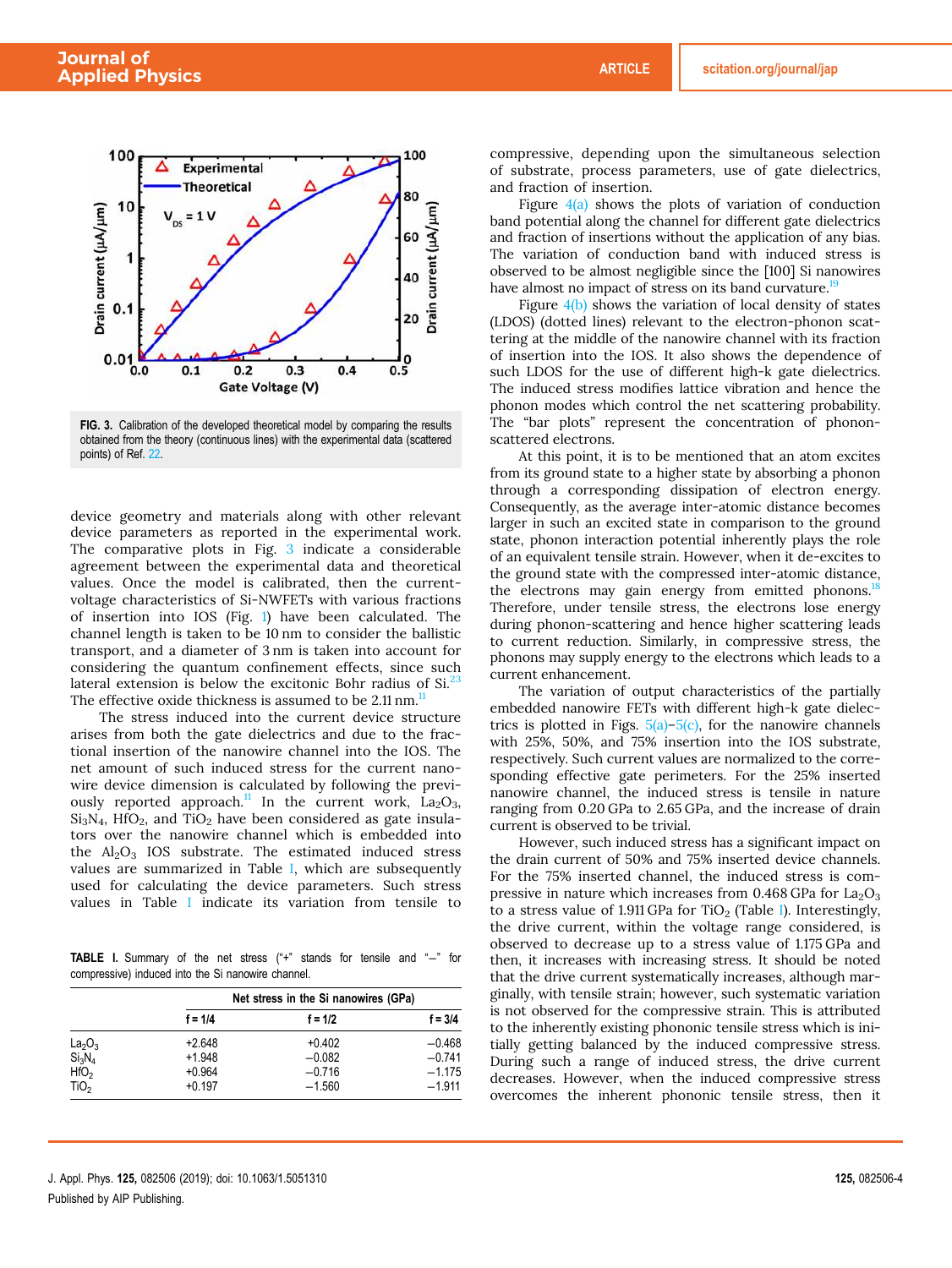

FIG. 3. Calibration of the developed theoretical model by comparing the results obtained from the theory (continuous lines) with the experimental data (scattered points) of Ref. 22.

device geometry and materials along with other relevant device parameters as reported in the experimental work. The comparative plots in Fig. 3 indicate a considerable agreement between the experimental data and theoretical values. Once the model is calibrated, then the currentvoltage characteristics of Si-NWFETs with various fractions of insertion into IOS (Fig. 1) have been calculated. The channel length is taken to be 10 nm to consider the ballistic transport, and a diameter of 3 nm is taken into account for considering the quantum confinement effects, since such lateral extension is below the excitonic Bohr radius of  $Si^{23}$ . The effective oxide thickness is assumed to be 2.11 nm.<sup>11</sup>

The stress induced into the current device structure arises from both the gate dielectrics and due to the fractional insertion of the nanowire channel into the IOS. The net amount of such induced stress for the current nanowire device dimension is calculated by following the previously reported approach.<sup>11</sup> In the current work,  $La_2O_3$ ,  $Si<sub>3</sub>N<sub>4</sub>$ , HfO<sub>2</sub>, and TiO<sub>2</sub> have been considered as gate insulators over the nanowire channel which is embedded into the  $Al_2O_3$  IOS substrate. The estimated induced stress values are summarized in Table I, which are subsequently used for calculating the device parameters. Such stress values in Table I indicate its variation from tensile to

TABLE I. Summary of the net stress ("+" stands for tensile and "−" for compressive) induced into the Si nanowire channel.

|                                | Net stress in the Si nanowires (GPa) |           |           |  |  |
|--------------------------------|--------------------------------------|-----------|-----------|--|--|
|                                | $f = 1/4$                            | $f = 1/2$ | $f = 3/4$ |  |  |
| La <sub>2</sub> O <sub>3</sub> | $+2.648$                             | $+0.402$  | $-0.468$  |  |  |
| $Si_3N_4$                      | $+1.948$                             | $-0.082$  | $-0.741$  |  |  |
| HfO <sub>2</sub>               | $+0.964$                             | $-0.716$  | $-1.175$  |  |  |
| TiO <sub>2</sub>               | $+0.197$                             | $-1.560$  | $-1.911$  |  |  |

compressive, depending upon the simultaneous selection of substrate, process parameters, use of gate dielectrics, and fraction of insertion.

Figure  $4(a)$  shows the plots of variation of conduction band potential along the channel for different gate dielectrics and fraction of insertions without the application of any bias. The variation of conduction band with induced stress is observed to be almost negligible since the [100] Si nanowires have almost no impact of stress on its band curvature.<sup>19</sup>

Figure 4(b) shows the variation of local density of states (LDOS) (dotted lines) relevant to the electron-phonon scattering at the middle of the nanowire channel with its fraction of insertion into the IOS. It also shows the dependence of such LDOS for the use of different high-k gate dielectrics. The induced stress modifies lattice vibration and hence the phonon modes which control the net scattering probability. The "bar plots" represent the concentration of phononscattered electrons.

At this point, it is to be mentioned that an atom excites from its ground state to a higher state by absorbing a phonon through a corresponding dissipation of electron energy. Consequently, as the average inter-atomic distance becomes larger in such an excited state in comparison to the ground state, phonon interaction potential inherently plays the role of an equivalent tensile strain. However, when it de-excites to the ground state with the compressed inter-atomic distance, the electrons may gain energy from emitted phonons.<sup>18</sup> Therefore, under tensile stress, the electrons lose energy during phonon-scattering and hence higher scattering leads to current reduction. Similarly, in compressive stress, the phonons may supply energy to the electrons which leads to a current enhancement.

The variation of output characteristics of the partially embedded nanowire FETs with different high-k gate dielectrics is plotted in Figs.  $5(a)$ – $5(c)$ , for the nanowire channels with 25%, 50%, and 75% insertion into the IOS substrate, respectively. Such current values are normalized to the corresponding effective gate perimeters. For the 25% inserted nanowire channel, the induced stress is tensile in nature ranging from 0.20 GPa to 2.65 GPa, and the increase of drain current is observed to be trivial.

However, such induced stress has a significant impact on the drain current of 50% and 75% inserted device channels. For the 75% inserted channel, the induced stress is compressive in nature which increases from  $0.468$  GPa for  $La<sub>2</sub>O<sub>3</sub>$ to a stress value of 1.911 GPa for  $TiO<sub>2</sub>$  (Table I). Interestingly, the drive current, within the voltage range considered, is observed to decrease up to a stress value of 1.175 GPa and then, it increases with increasing stress. It should be noted that the drive current systematically increases, although marginally, with tensile strain; however, such systematic variation is not observed for the compressive strain. This is attributed to the inherently existing phononic tensile stress which is initially getting balanced by the induced compressive stress. During such a range of induced stress, the drive current decreases. However, when the induced compressive stress overcomes the inherent phononic tensile stress, then it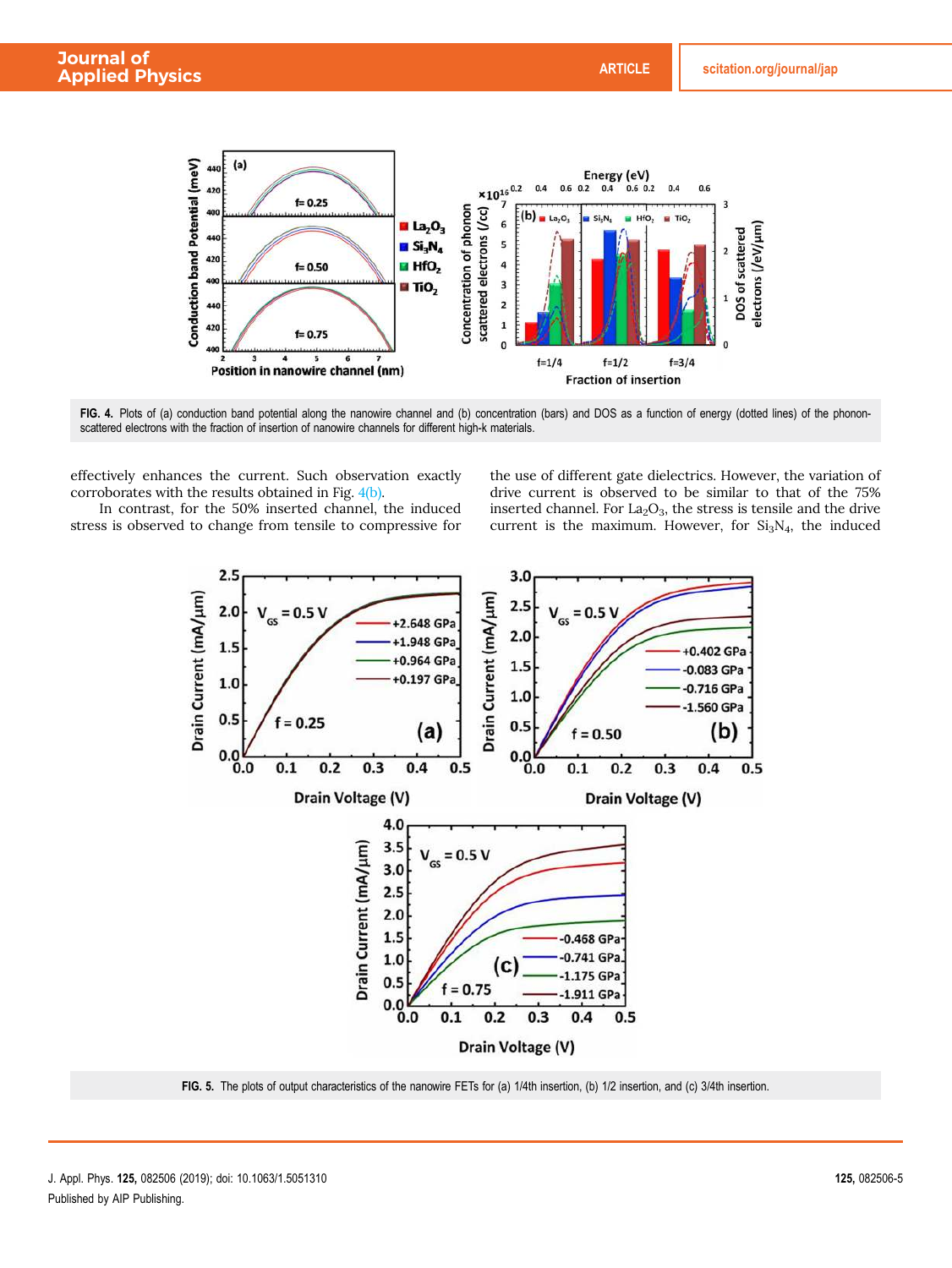

FIG. 4. Plots of (a) conduction band potential along the nanowire channel and (b) concentration (bars) and DOS as a function of energy (dotted lines) of the phononscattered electrons with the fraction of insertion of nanowire channels for different high-k materials.

effectively enhances the current. Such observation exactly corroborates with the results obtained in Fig. 4(b).

In contrast, for the 50% inserted channel, the induced stress is observed to change from tensile to compressive for

the use of different gate dielectrics. However, the variation of drive current is observed to be similar to that of the 75% inserted channel. For  $La_2O_3$ , the stress is tensile and the drive current is the maximum. However, for  $Si<sub>3</sub>N<sub>4</sub>$ , the induced



FIG. 5. The plots of output characteristics of the nanowire FETs for (a) 1/4th insertion, (b) 1/2 insertion, and (c) 3/4th insertion.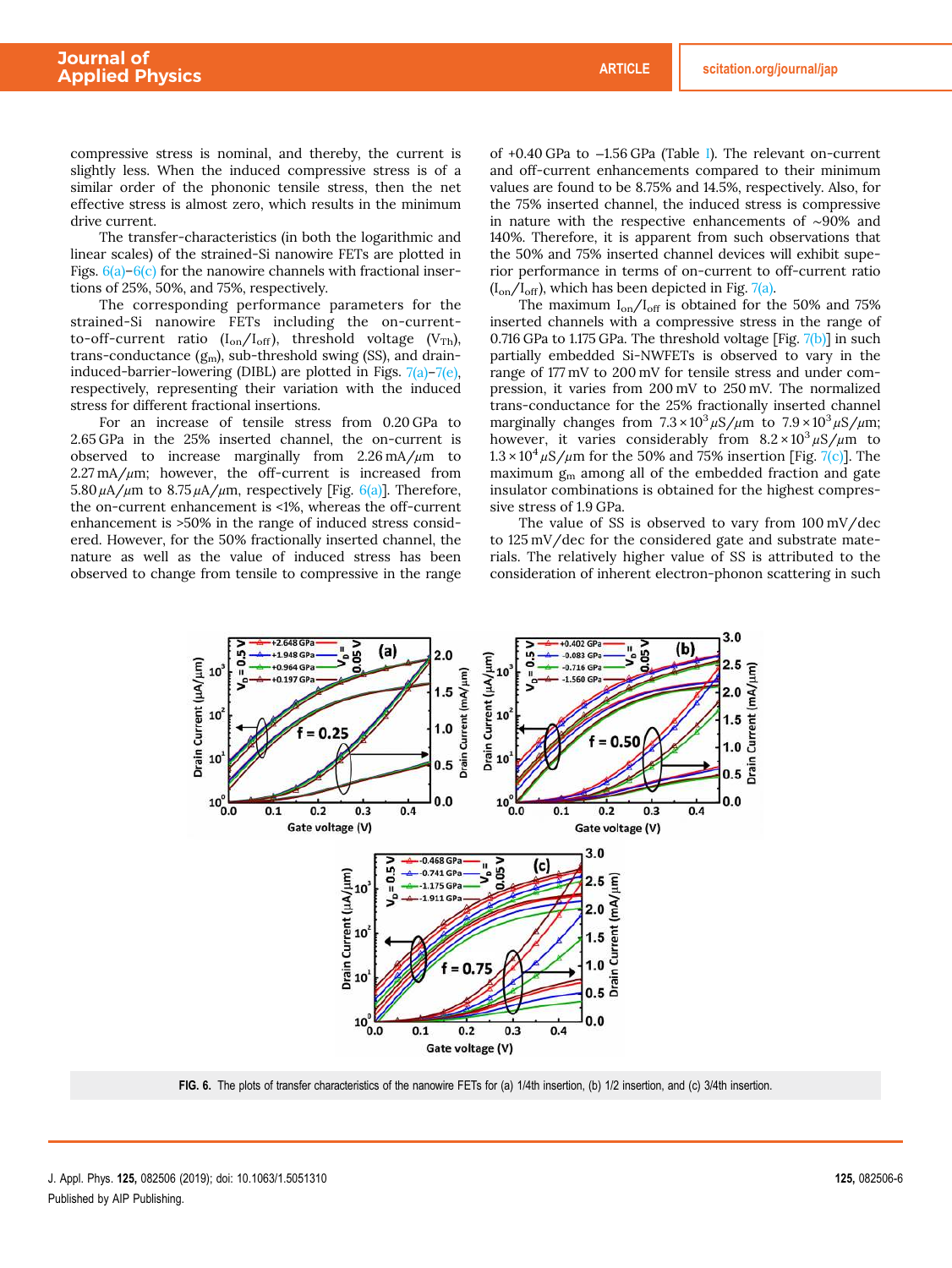compressive stress is nominal, and thereby, the current is slightly less. When the induced compressive stress is of a similar order of the phononic tensile stress, then the net effective stress is almost zero, which results in the minimum drive current.

The transfer-characteristics (in both the logarithmic and linear scales) of the strained-Si nanowire FETs are plotted in Figs.  $6(a)$ – $6(c)$  for the nanowire channels with fractional insertions of 25%, 50%, and 75%, respectively.

The corresponding performance parameters for the strained-Si nanowire FETs including the on-currentto-off-current ratio  $(I_{on}/I_{off})$ , threshold voltage (V<sub>Th</sub>), trans-conductance  $(g_m)$ , sub-threshold swing (SS), and draininduced-barrier-lowering (DIBL) are plotted in Figs.  $7(a)$ – $7(e)$ , respectively, representing their variation with the induced stress for different fractional insertions.

For an increase of tensile stress from 0.20 GPa to 2.65 GPa in the 25% inserted channel, the on-current is observed to increase marginally from  $2.26 \text{ mA}/\mu\text{m}$  to  $2.27 \text{ mA}/\mu\text{m}$ ; however, the off-current is increased from  $5.80 \mu A/\mu$ m to  $8.75 \mu A/\mu$ m, respectively [Fig. 6(a)]. Therefore, the on-current enhancement is <1%, whereas the off-current enhancement is >50% in the range of induced stress considered. However, for the 50% fractionally inserted channel, the nature as well as the value of induced stress has been observed to change from tensile to compressive in the range of +0.40 GPa to −1.56 GPa (Table I). The relevant on-current and off-current enhancements compared to their minimum values are found to be 8.75% and 14.5%, respectively. Also, for the 75% inserted channel, the induced stress is compressive in nature with the respective enhancements of ∼90% and 140%. Therefore, it is apparent from such observations that the 50% and 75% inserted channel devices will exhibit superior performance in terms of on-current to off-current ratio  $(I_{on}/I_{off})$ , which has been depicted in Fig. 7(a).

The maximum  $I_{on}/I_{off}$  is obtained for the 50% and 75% inserted channels with a compressive stress in the range of 0.716 GPa to 1.175 GPa. The threshold voltage [Fig. 7(b)] in such partially embedded Si-NWFETs is observed to vary in the range of 177 mV to 200 mV for tensile stress and under compression, it varies from 200 mV to 250 mV. The normalized trans-conductance for the 25% fractionally inserted channel marginally changes from  $7.3 \times 10^3 \mu\text{S/m}$  to  $7.9 \times 10^3 \mu\text{S/m}$ ; however, it varies considerably from  $8.2 \times 10^3 \mu\text{S}/\mu\text{m}$  to  $1.3 \times 10^4 \,\mu\text{S/m}$  for the 50% and 75% insertion [Fig. 7(c)]. The maximum  $g_m$  among all of the embedded fraction and gate insulator combinations is obtained for the highest compressive stress of 1.9 GPa.

The value of SS is observed to vary from 100 mV/dec to 125 mV/dec for the considered gate and substrate materials. The relatively higher value of SS is attributed to the consideration of inherent electron-phonon scattering in such



FIG. 6. The plots of transfer characteristics of the nanowire FETs for (a) 1/4th insertion, (b) 1/2 insertion, and (c) 3/4th insertion.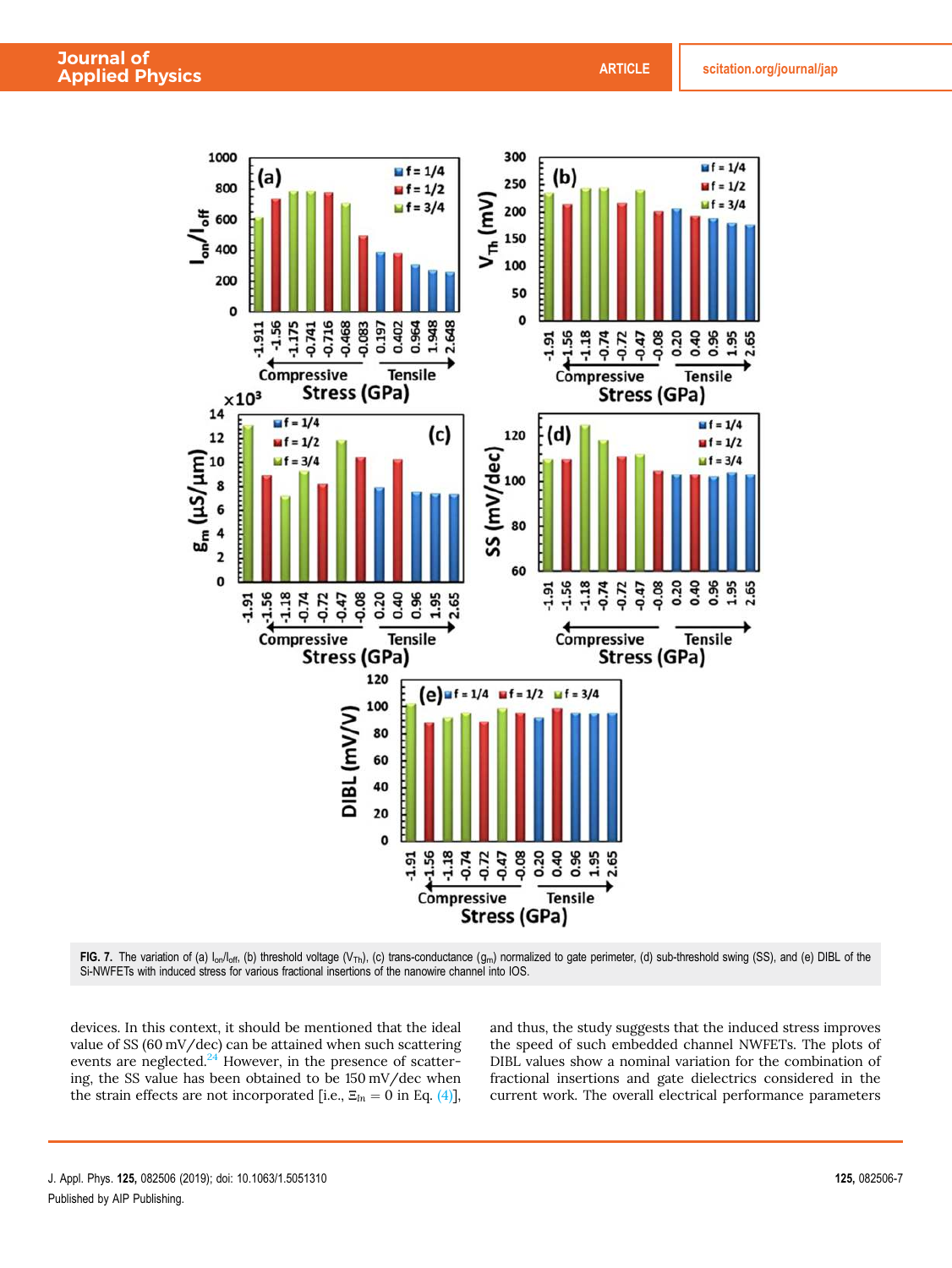

FIG. 7. The variation of (a)  $I_{on}/I_{off}$ , (b) threshold voltage (V<sub>Th</sub>), (c) trans-conductance (g<sub>m</sub>) normalized to gate perimeter, (d) sub-threshold swing (SS), and (e) DIBL of the Si-NWFETs with induced stress for various fractional insertions of the nanowire channel into IOS.

devices. In this context, it should be mentioned that the ideal value of SS (60 mV/dec) can be attained when such scattering events are neglected. $24$  However, in the presence of scattering, the SS value has been obtained to be 150 mV/dec when the strain effects are not incorporated [i.e.,  $\Xi_{In} = 0$  in Eq. (4)],

and thus, the study suggests that the induced stress improves the speed of such embedded channel NWFETs. The plots of DIBL values show a nominal variation for the combination of fractional insertions and gate dielectrics considered in the current work. The overall electrical performance parameters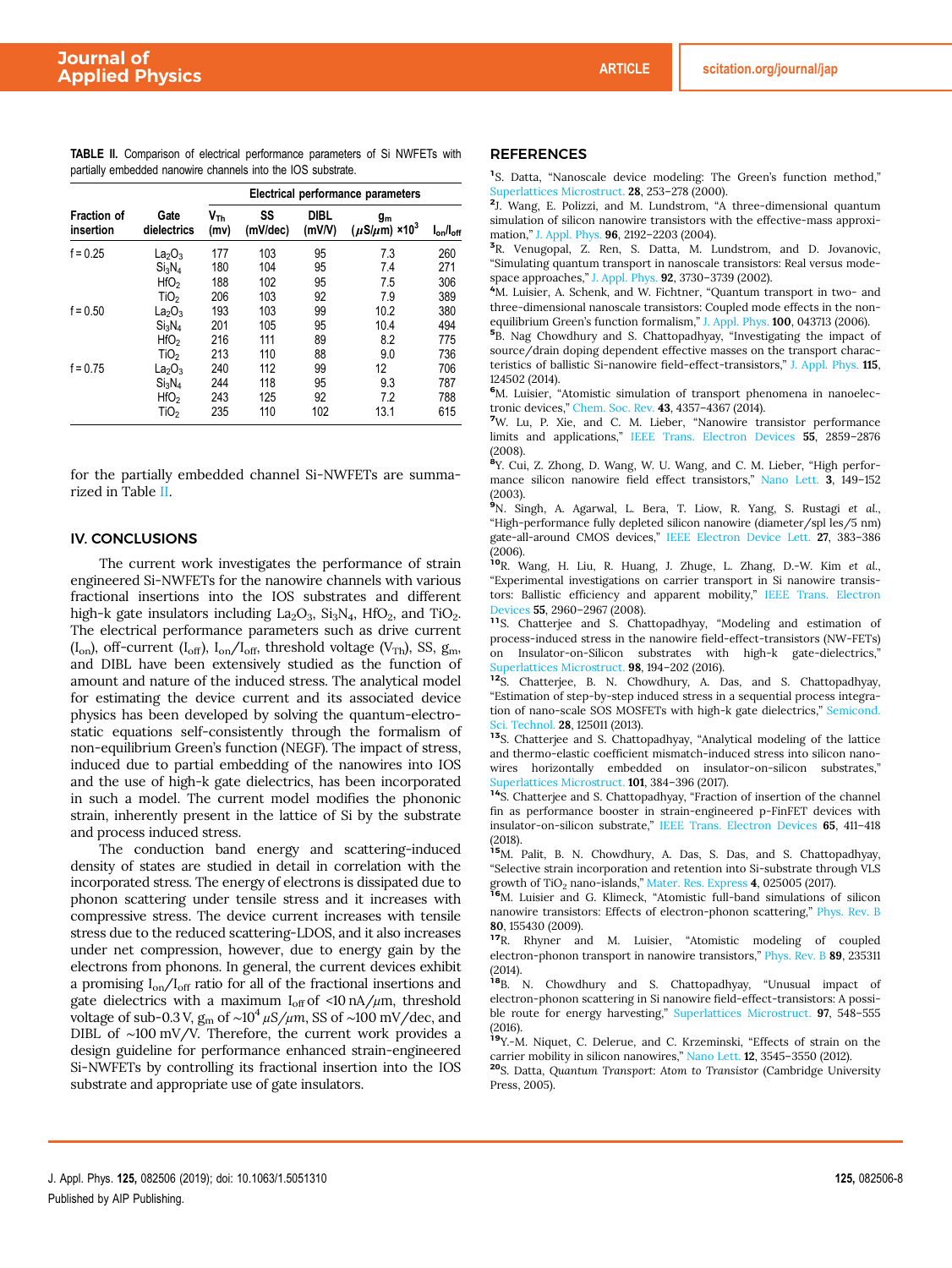TABLE II. Comparison of electrical performance parameters of Si NWFETs with partially embedded nanowire channels into the IOS substrate.

|                                 |                                | Electrical performance parameters |                |                       |                                              |                  |  |
|---------------------------------|--------------------------------|-----------------------------------|----------------|-----------------------|----------------------------------------------|------------------|--|
| <b>Fraction of</b><br>insertion | Gate<br>dielectrics            | $V_{\text{Th}}$<br>(mv)           | SS<br>(mV/dec) | <b>DIBL</b><br>(mV/V) | $g_m$<br>$(\mu$ S/ $\mu$ m) ×10 <sup>3</sup> | $I_{on}/I_{off}$ |  |
| $f = 0.25$                      | La <sub>2</sub> O <sub>3</sub> | 177                               | 103            | 95                    | 7.3                                          | 260              |  |
|                                 | Si <sub>3</sub> N <sub>4</sub> | 180                               | 104            | 95                    | 7.4                                          | 271              |  |
|                                 | HfO <sub>2</sub>               | 188                               | 102            | 95                    | 7.5                                          | 306              |  |
|                                 | TiO <sub>2</sub>               | 206                               | 103            | 92                    | 7.9                                          | 389              |  |
| $f = 0.50$                      | $La_2O_3$                      | 193                               | 103            | 99                    | 10.2                                         | 380              |  |
|                                 | Si <sub>3</sub> N <sub>4</sub> | 201                               | 105            | 95                    | 10.4                                         | 494              |  |
|                                 | HfO <sub>2</sub>               | 216                               | 111            | 89                    | 8.2                                          | 775              |  |
|                                 | TiO <sub>2</sub>               | 213                               | 110            | 88                    | 9.0                                          | 736              |  |
| $f = 0.75$                      | $La_2O_3$                      | 240                               | 112            | 99                    | 12                                           | 706              |  |
|                                 | Si <sub>3</sub> N <sub>4</sub> | 244                               | 118            | 95                    | 9.3                                          | 787              |  |
|                                 | HfO <sub>2</sub>               | 243                               | 125            | 92                    | 7.2                                          | 788              |  |
|                                 | TiO <sub>2</sub>               | 235                               | 110            | 102                   | 13.1                                         | 615              |  |

for the partially embedded channel Si-NWFETs are summarized in Table II.

#### IV. CONCLUSIONS

The current work investigates the performance of strain engineered Si-NWFETs for the nanowire channels with various fractional insertions into the IOS substrates and different high-k gate insulators including  $La_2O_3$ ,  $Si_3N_4$ ,  $HfO_2$ , and  $TiO_2$ . The electrical performance parameters such as drive current (I<sub>on</sub>), off-current (I<sub>off</sub>), I<sub>on</sub>/I<sub>off</sub>, threshold voltage (V<sub>Th</sub>), SS, g<sub>m</sub>, and DIBL have been extensively studied as the function of amount and nature of the induced stress. The analytical model for estimating the device current and its associated device physics has been developed by solving the quantum-electrostatic equations self-consistently through the formalism of non-equilibrium Green's function (NEGF). The impact of stress, induced due to partial embedding of the nanowires into IOS and the use of high-k gate dielectrics, has been incorporated in such a model. The current model modifies the phononic strain, inherently present in the lattice of Si by the substrate and process induced stress.

The conduction band energy and scattering-induced density of states are studied in detail in correlation with the incorporated stress. The energy of electrons is dissipated due to phonon scattering under tensile stress and it increases with compressive stress. The device current increases with tensile stress due to the reduced scattering-LDOS, and it also increases under net compression, however, due to energy gain by the electrons from phonons. In general, the current devices exhibit a promising  $I_{on}/I_{off}$  ratio for all of the fractional insertions and gate dielectrics with a maximum  $I_{off}$  of <10 nA/ $\mu$ m, threshold voltage of sub-0.3 V, g<sup>m</sup> of ∼10<sup>4</sup> μ*S/*μ*m*, SS of ∼100 mV/dec, and DIBL of ∼100 mV/V. Therefore, the current work provides a design guideline for performance enhanced strain-engineered Si-NWFETs by controlling its fractional insertion into the IOS substrate and appropriate use of gate insulators.

#### **REFERENCES**

<sup>1</sup>S. Datta, "Nanoscale device modeling: The Green's function method," Superlattices Microstruct. 28, 253-278 (2000).

2 J. Wang, E. Polizzi, and M. Lundstrom, "A three-dimensional quantum simulation of silicon nanowire transistors with the effective-mass approximation," J. Appl. Phys. 96, 2192–2203 (2004).

3 R. Venugopal, Z. Ren, S. Datta, M. Lundstrom, and D. Jovanovic, "Simulating quantum transport in nanoscale transistors: Real versus modespace approaches," J. Appl. Phys. 92, 3730–3739 (2002).

<sup>4</sup>M. Luisier, A. Schenk, and W. Fichtner, "Quantum transport in two- and three-dimensional nanoscale transistors: Coupled mode effects in the nonequilibrium Green's function formalism," J. Appl. Phys. 100, 043713 (2006).

5 B. Nag Chowdhury and S. Chattopadhyay, "Investigating the impact of source/drain doping dependent effective masses on the transport characteristics of ballistic Si-nanowire field-effect-transistors," J. Appl. Phys. 115, 124502 (2014).

<sup>6</sup>M. Luisier, "Atomistic simulation of transport phenomena in nanoelectronic devices," Chem. Soc. Rev. 43, 4357–4367 (2014).

<sup>7</sup>W. Lu, P. Xie, and C. M. Lieber, "Nanowire transistor performance limits and applications," IEEE Trans. Electron Devices 55, 2859–2876 (2008).

8 Y. Cui, Z. Zhong, D. Wang, W. U. Wang, and C. M. Lieber, "High performance silicon nanowire field effect transistors," Nano Lett. 3, 149–152 (2003).

<sup>9</sup>N. Singh, A. Agarwal, L. Bera, T. Liow, R. Yang, S. Rustagi *et al.*, "High-performance fully depleted silicon nanowire (diameter/spl les/5 nm) gate-all-around CMOS devices," IEEE Electron Device Lett. 27, 383–386

(2006). <sup>10</sup>R. Wang, H. Liu, R. Huang, J. Zhuge, L. Zhang, D.-W. Kim *et al.*, "Experimental investigations on carrier transport in Si nanowire transistors: Ballistic efficiency and apparent mobility," IEEE Trans. Electron evices 55, 2960–2967 (2008).

<sup>11</sup>S. Chatterjee and S. Chattopadhyay, "Modeling and estimation of process-induced stress in the nanowire field-effect-transistors (NW-FETs) on Insulator-on-Silicon substrates with high-k gate-dielectrics," aperlattices Microstruct. 98, 194-202 (2016).

<sup>12</sup>S. Chatterjee, B. N. Chowdhury, A. Das, and S. Chattopadhyay, "Estimation of step-by-step induced stress in a sequential process integration of nano-scale SOS MOSFETs with high-k gate dielectrics," Semicond. ci. Technol. 28, 125011 (2013).

<sup>13</sup>S. Chatterjee and S. Chattopadhyay, "Analytical modeling of the lattice and thermo-elastic coefficient mismatch-induced stress into silicon nanowires horizontally embedded on insulator-on-silicon substrates," Superlattices Microstruct. **101**, 384-396 (2017).

<sup>14</sup>S. Chatterjee and S. Chattopadhyay, "Fraction of insertion of the channel fin as performance booster in strain-engineered p-FinFET devices with insulator-on-silicon substrate," IEEE Trans. Electron Devices 65, 411–418 (2018).

<sup>15</sup>M. Palit, B. N. Chowdhury, A. Das, S. Das, and S. Chattopadhyay, "Selective strain incorporation and retention into Si-substrate through VLS growth of  $TiO<sub>2</sub>$  nano-islands," Mater. Res. Express 4, 025005 (2017).

<sup>16</sup>M. Luisier and G. Klimeck, "Atomistic full-band simulations of silicon nanowire transistors: Effects of electron-phonon scattering," Phys. Rev. B 80, 155430 (2009).

<sup>17</sup>R. Rhyner and M. Luisier, "Atomistic modeling of coupled electron-phonon transport in nanowire transistors," Phys. Rev. B 89, 235311 (2014).

18B. N. Chowdhury and S. Chattopadhyay, "Unusual impact of electron-phonon scattering in Si nanowire field-effect-transistors: A possible route for energy harvesting," Superlattices Microstruct. 97, 548–555 (2016).

<sup>19</sup>Y.-M. Niquet, C. Delerue, and C. Krzeminski, "Effects of strain on the carrier mobility in silicon nanowires," Nano Lett. 12, 3545–3550 (2012).

<sup>20</sup>S. Datta, *Quantum Transport: Atom to Transistor* (Cambridge University Press, 2005).